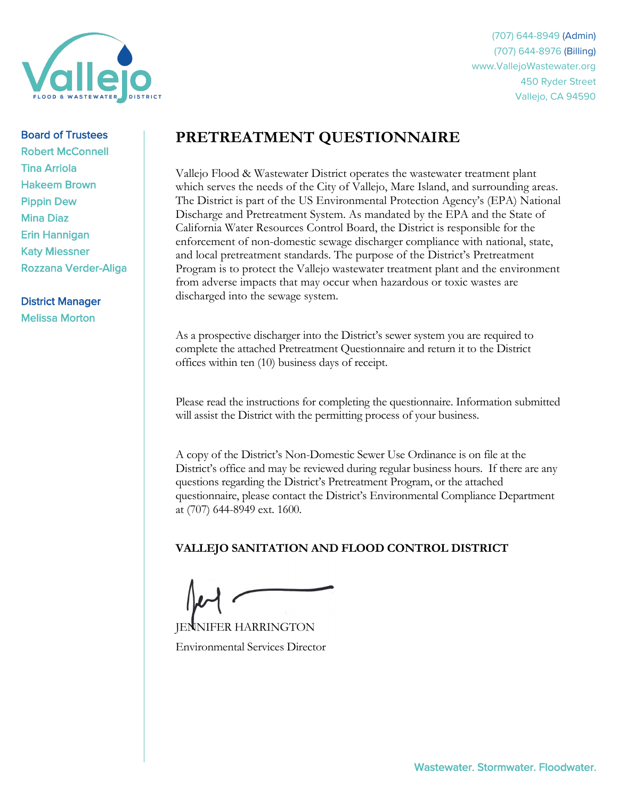

(707) 644-8949 (Admin) (707) 644-8976 (Billing) www.VallejoWastewater.org 450 Ryder Street Vallejo, CA 94590

#### Board of Trustees

Robert McConnell Tina Arriola Hakeem Brown Pippin Dew Mina Diaz Erin Hannigan Katy Miessner Rozzana Verder-Aliga

District Manager Melissa Morton

# **PRETREATMENT QUESTIONNAIRE**

Vallejo Flood & Wastewater District operates the wastewater treatment plant which serves the needs of the City of Vallejo, Mare Island, and surrounding areas. The District is part of the US Environmental Protection Agency's (EPA) National Discharge and Pretreatment System. As mandated by the EPA and the State of California Water Resources Control Board, the District is responsible for the enforcement of non-domestic sewage discharger compliance with national, state, and local pretreatment standards. The purpose of the District's Pretreatment Program is to protect the Vallejo wastewater treatment plant and the environment from adverse impacts that may occur when hazardous or toxic wastes are discharged into the sewage system.

As a prospective discharger into the District's sewer system you are required to complete the attached Pretreatment Questionnaire and return it to the District offices within ten (10) business days of receipt.

Please read the instructions for completing the questionnaire. Information submitted will assist the District with the permitting process of your business.

A copy of the District's Non-Domestic Sewer Use Ordinance is on file at the District's office and may be reviewed during regular business hours. If there are any questions regarding the District's Pretreatment Program, or the attached questionnaire, please contact the District's Environmental Compliance Department at (707) 644-8949 ext. 1600.

## **VALLEJO SANITATION AND FLOOD CONTROL DISTRICT**

NIFER HARRINGTON Environmental Services Director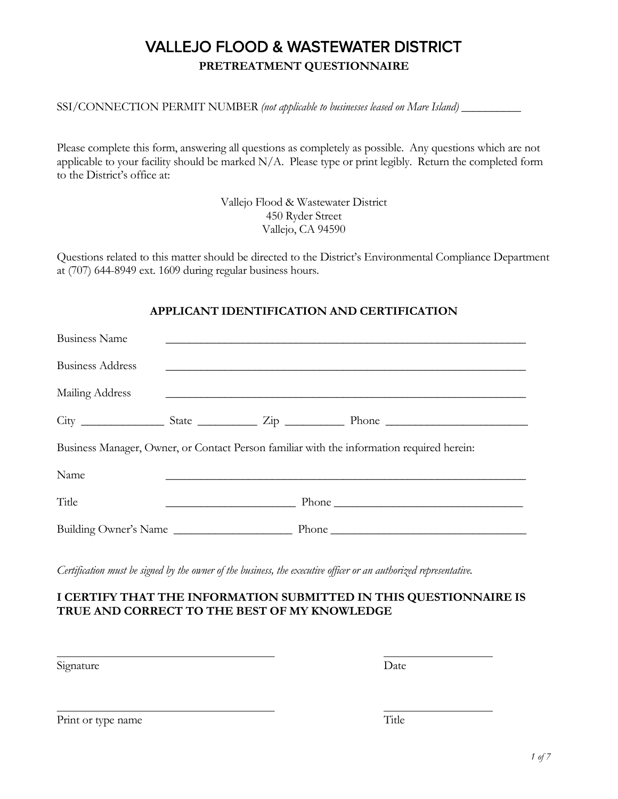# VALLEJO FLOOD & WASTEWATER DISTRICT **PRETREATMENT QUESTIONNAIRE**

SSI/CONNECTION PERMIT NUMBER *(not applicable to businesses leased on Mare Island)* 

Please complete this form, answering all questions as completely as possible. Any questions which are not applicable to your facility should be marked N/A. Please type or print legibly. Return the completed form to the District's office at:

> Vallejo Flood & Wastewater District 450 Ryder Street Vallejo, CA 94590

Questions related to this matter should be directed to the District's Environmental Compliance Department at (707) 644-8949 ext. 1609 during regular business hours.

## **APPLICANT IDENTIFICATION AND CERTIFICATION**

| <b>Business Name</b>    |                                                             |                                                                                                                                                                                                                               |
|-------------------------|-------------------------------------------------------------|-------------------------------------------------------------------------------------------------------------------------------------------------------------------------------------------------------------------------------|
| <b>Business Address</b> | <u> 1980 - John Stein, Amerikaansk politiker (* 1950)</u>   |                                                                                                                                                                                                                               |
| Mailing Address         | <u> 1989 - Johann Stoff, amerikansk politiker (d. 1989)</u> |                                                                                                                                                                                                                               |
|                         |                                                             |                                                                                                                                                                                                                               |
|                         |                                                             | Business Manager, Owner, or Contact Person familiar with the information required herein:                                                                                                                                     |
| Name                    |                                                             |                                                                                                                                                                                                                               |
| Title                   |                                                             | Phone Phone Phone Phone Phone Phone Phone Phone Phone Phone Phone Phone Phone Phone Phone Phone Phone Phone Phone Phone Phone Phone Phone Phone Phone Phone Phone Phone Phone Phone Phone Phone Phone Phone Phone Phone Phone |
| Building Owner's Name   |                                                             | Phone                                                                                                                                                                                                                         |

*Certification must be signed by the owner of the business, the executive officer or an authorized representative.*

## **I CERTIFY THAT THE INFORMATION SUBMITTED IN THIS QUESTIONNAIRE IS TRUE AND CORRECT TO THE BEST OF MY KNOWLEDGE**

Signature Date

Print or type name Title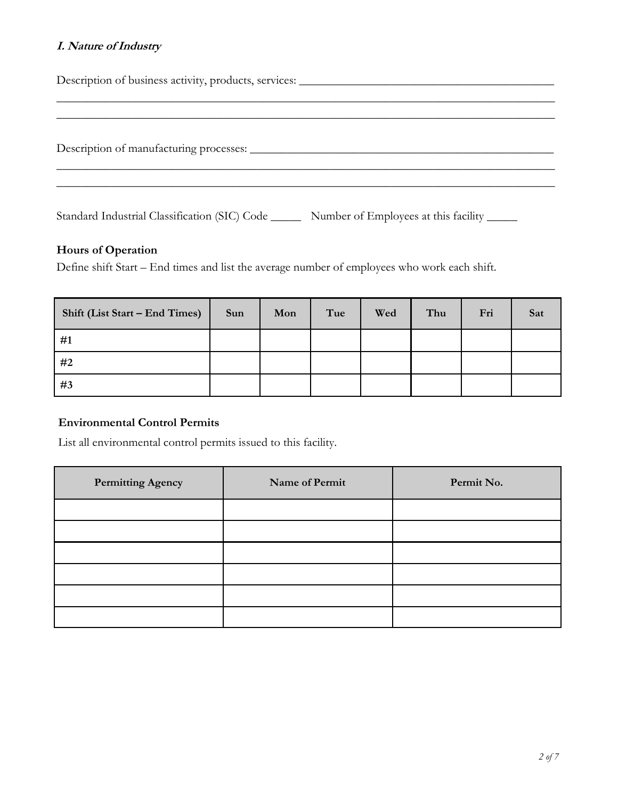## **I. Nature of Industry**

Description of business activity, products, services: \_\_\_\_\_\_\_\_\_\_\_\_\_\_\_\_\_\_\_\_\_\_\_\_\_\_\_\_\_\_\_\_\_\_\_\_\_\_\_\_\_\_ \_\_\_\_\_\_\_\_\_\_\_\_\_\_\_\_\_\_\_\_\_\_\_\_\_\_\_\_\_\_\_\_\_\_\_\_\_\_\_\_\_\_\_\_\_\_\_\_\_\_\_\_\_\_\_\_\_\_\_\_\_\_\_\_\_\_\_\_\_\_\_\_\_\_\_\_\_\_\_\_\_\_ \_\_\_\_\_\_\_\_\_\_\_\_\_\_\_\_\_\_\_\_\_\_\_\_\_\_\_\_\_\_\_\_\_\_\_\_\_\_\_\_\_\_\_\_\_\_\_\_\_\_\_\_\_\_\_\_\_\_\_\_\_\_\_\_\_\_\_\_\_\_\_\_\_\_\_\_\_\_\_\_\_\_ Description of manufacturing processes: \_\_\_\_\_\_\_\_\_\_\_\_\_\_\_\_\_\_\_\_\_\_\_\_\_\_\_\_\_\_\_\_\_\_\_\_\_\_\_\_\_\_\_\_\_\_\_\_\_\_ \_\_\_\_\_\_\_\_\_\_\_\_\_\_\_\_\_\_\_\_\_\_\_\_\_\_\_\_\_\_\_\_\_\_\_\_\_\_\_\_\_\_\_\_\_\_\_\_\_\_\_\_\_\_\_\_\_\_\_\_\_\_\_\_\_\_\_\_\_\_\_\_\_\_\_\_\_\_\_\_\_\_ \_\_\_\_\_\_\_\_\_\_\_\_\_\_\_\_\_\_\_\_\_\_\_\_\_\_\_\_\_\_\_\_\_\_\_\_\_\_\_\_\_\_\_\_\_\_\_\_\_\_\_\_\_\_\_\_\_\_\_\_\_\_\_\_\_\_\_\_\_\_\_\_\_\_\_\_\_\_\_\_\_\_ Standard Industrial Classification (SIC) Code \_\_\_\_\_\_\_ Number of Employees at this facility \_\_\_\_\_\_

#### **Hours of Operation**

Define shift Start – End times and list the average number of employees who work each shift.

| Shift (List Start – End Times) | Sun | Mon | Tue | Wed | Thu | Fri | Sat |
|--------------------------------|-----|-----|-----|-----|-----|-----|-----|
| #1                             |     |     |     |     |     |     |     |
| #2                             |     |     |     |     |     |     |     |
| #3                             |     |     |     |     |     |     |     |

#### **Environmental Control Permits**

List all environmental control permits issued to this facility.

| <b>Permitting Agency</b> | Name of Permit | Permit No. |
|--------------------------|----------------|------------|
|                          |                |            |
|                          |                |            |
|                          |                |            |
|                          |                |            |
|                          |                |            |
|                          |                |            |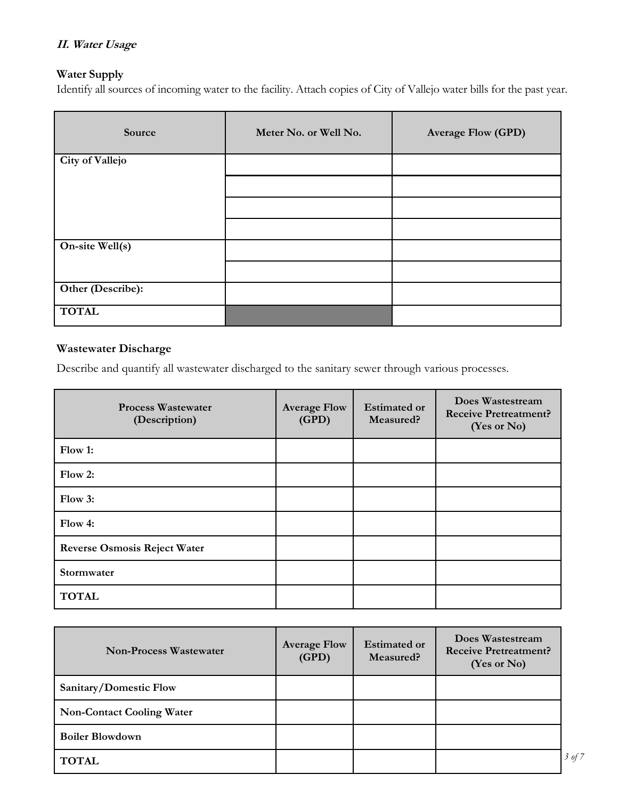## **II. Water Usage**

## **Water Supply**

Identify all sources of incoming water to the facility. Attach copies of City of Vallejo water bills for the past year.

| Source            | Meter No. or Well No. | <b>Average Flow (GPD)</b> |
|-------------------|-----------------------|---------------------------|
| City of Vallejo   |                       |                           |
|                   |                       |                           |
|                   |                       |                           |
|                   |                       |                           |
| On-site Well(s)   |                       |                           |
|                   |                       |                           |
| Other (Describe): |                       |                           |
| <b>TOTAL</b>      |                       |                           |

## **Wastewater Discharge**

Describe and quantify all wastewater discharged to the sanitary sewer through various processes.

| <b>Process Wastewater</b><br>(Description) | <b>Average Flow</b><br>(GPD) | <b>Estimated or</b><br>Measured? | Does Wastestream<br><b>Receive Pretreatment?</b><br>(Yes or No) |
|--------------------------------------------|------------------------------|----------------------------------|-----------------------------------------------------------------|
| Flow 1:                                    |                              |                                  |                                                                 |
| Flow 2:                                    |                              |                                  |                                                                 |
| Flow 3:                                    |                              |                                  |                                                                 |
| Flow 4:                                    |                              |                                  |                                                                 |
| <b>Reverse Osmosis Reject Water</b>        |                              |                                  |                                                                 |
| Stormwater                                 |                              |                                  |                                                                 |
| <b>TOTAL</b>                               |                              |                                  |                                                                 |

| <b>Non-Process Wastewater</b>    | <b>Average Flow</b><br>(GPD) | <b>Estimated or</b><br>Measured? | Does Wastestream<br><b>Receive Pretreatment?</b><br>(Yes or No) |        |
|----------------------------------|------------------------------|----------------------------------|-----------------------------------------------------------------|--------|
| Sanitary/Domestic Flow           |                              |                                  |                                                                 |        |
| <b>Non-Contact Cooling Water</b> |                              |                                  |                                                                 |        |
| <b>Boiler Blowdown</b>           |                              |                                  |                                                                 |        |
| <b>TOTAL</b>                     |                              |                                  |                                                                 | 3 of 7 |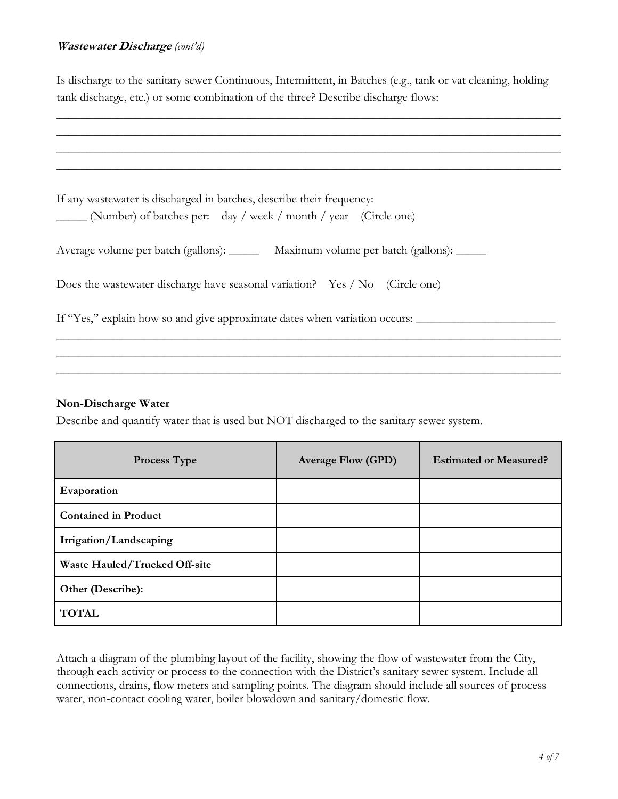#### **Wastewater Discharge** *(cont'd)*

Is discharge to the sanitary sewer Continuous, Intermittent, in Batches (e.g., tank or vat cleaning, holding tank discharge, etc.) or some combination of the three? Describe discharge flows:

| If any wastewater is discharged in batches, describe their frequency:                   |
|-----------------------------------------------------------------------------------------|
| (Number) of batches per: day / week / month / year (Circle one)                         |
|                                                                                         |
| Average volume per batch (gallons): ________ Maximum volume per batch (gallons): ______ |
|                                                                                         |
| Does the wastewater discharge have seasonal variation? Yes / No (Circle one)            |
|                                                                                         |
| If "Yes," explain how so and give approximate dates when variation occurs:              |
|                                                                                         |
|                                                                                         |

 $\_$  ,  $\_$  ,  $\_$  ,  $\_$  ,  $\_$  ,  $\_$  ,  $\_$  ,  $\_$  ,  $\_$  ,  $\_$  ,  $\_$  ,  $\_$  ,  $\_$  ,  $\_$  ,  $\_$  ,  $\_$  ,  $\_$  ,  $\_$  ,  $\_$  ,  $\_$  ,  $\_$  ,  $\_$  ,  $\_$  ,  $\_$  ,  $\_$  ,  $\_$  ,  $\_$  ,  $\_$  ,  $\_$  ,  $\_$  ,  $\_$  ,  $\_$  ,  $\_$  ,  $\_$  ,  $\_$  ,  $\_$  ,  $\_$  ,

#### **Non-Discharge Water**

Describe and quantify water that is used but NOT discharged to the sanitary sewer system.

| <b>Process Type</b>           | <b>Average Flow (GPD)</b> | <b>Estimated or Measured?</b> |
|-------------------------------|---------------------------|-------------------------------|
| Evaporation                   |                           |                               |
| <b>Contained in Product</b>   |                           |                               |
| Irrigation/Landscaping        |                           |                               |
| Waste Hauled/Trucked Off-site |                           |                               |
| Other (Describe):             |                           |                               |
| <b>TOTAL</b>                  |                           |                               |

Attach a diagram of the plumbing layout of the facility, showing the flow of wastewater from the City, through each activity or process to the connection with the District's sanitary sewer system. Include all connections, drains, flow meters and sampling points. The diagram should include all sources of process water, non-contact cooling water, boiler blowdown and sanitary/domestic flow.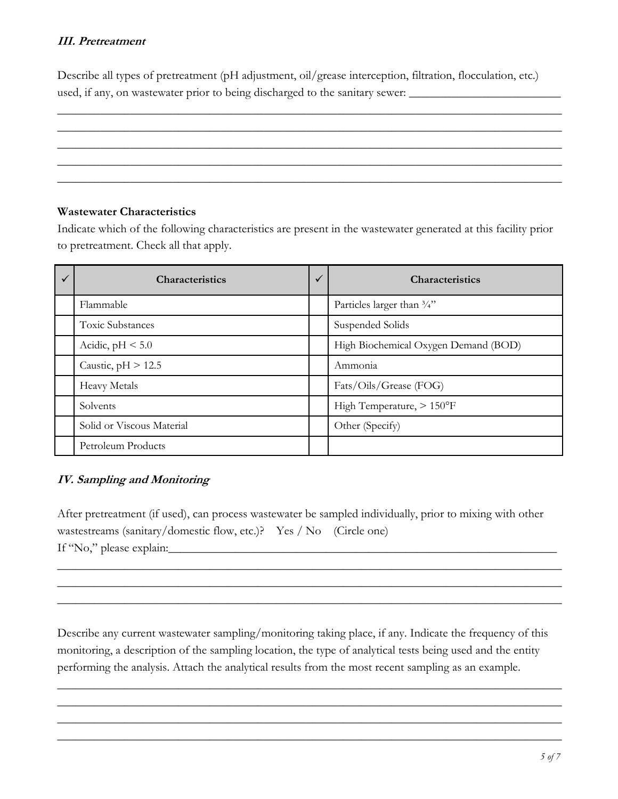## **III. Pretreatment**

Describe all types of pretreatment (pH adjustment, oil/grease interception, filtration, flocculation, etc.) used, if any, on wastewater prior to being discharged to the sanitary sewer: \_\_\_\_\_\_\_\_\_\_\_\_\_\_\_\_\_\_\_\_\_\_\_\_\_\_\_\_\_\_\_\_\_

 $\_$  , and the set of the set of the set of the set of the set of the set of the set of the set of the set of the set of the set of the set of the set of the set of the set of the set of the set of the set of the set of th  $\_$  , and the set of the set of the set of the set of the set of the set of the set of the set of the set of the set of the set of the set of the set of the set of the set of the set of the set of the set of the set of th  $\_$  , and the set of the set of the set of the set of the set of the set of the set of the set of the set of the set of the set of the set of the set of the set of the set of the set of the set of the set of the set of th  $\_$  , and the set of the set of the set of the set of the set of the set of the set of the set of the set of the set of the set of the set of the set of the set of the set of the set of the set of the set of the set of th  $\_$  , and the set of the set of the set of the set of the set of the set of the set of the set of the set of the set of the set of the set of the set of the set of the set of the set of the set of the set of the set of th

## **Wastewater Characteristics**

Indicate which of the following characteristics are present in the wastewater generated at this facility prior to pretreatment. Check all that apply.

| <b>Characteristics</b>    | $\checkmark$ | <b>Characteristics</b>                |
|---------------------------|--------------|---------------------------------------|
| Flammable                 |              | Particles larger than $\frac{3}{4}$ " |
| <b>Toxic Substances</b>   |              | Suspended Solids                      |
| Acidic, $pH < 5.0$        |              | High Biochemical Oxygen Demand (BOD)  |
| Caustic, $pH > 12.5$      |              | Ammonia                               |
| <b>Heavy Metals</b>       |              | Fats/Oils/Grease (FOG)                |
| Solvents                  |              | High Temperature, > 150°F             |
| Solid or Viscous Material |              | Other (Specify)                       |
| Petroleum Products        |              |                                       |

## **IV. Sampling and Monitoring**

After pretreatment (if used), can process wastewater be sampled individually, prior to mixing with other wastestreams (sanitary/domestic flow, etc.)? Yes / No (Circle one) If "No," please explain:

 $\_$  , and the set of the set of the set of the set of the set of the set of the set of the set of the set of the set of the set of the set of the set of the set of the set of the set of the set of the set of the set of th  $\_$  , and the set of the set of the set of the set of the set of the set of the set of the set of the set of the set of the set of the set of the set of the set of the set of the set of the set of the set of the set of th  $\_$  , and the set of the set of the set of the set of the set of the set of the set of the set of the set of the set of the set of the set of the set of the set of the set of the set of the set of the set of the set of th

Describe any current wastewater sampling/monitoring taking place, if any. Indicate the frequency of this monitoring, a description of the sampling location, the type of analytical tests being used and the entity performing the analysis. Attach the analytical results from the most recent sampling as an example.

 $\_$  , and the set of the set of the set of the set of the set of the set of the set of the set of the set of the set of the set of the set of the set of the set of the set of the set of the set of the set of the set of th  $\_$  , and the set of the set of the set of the set of the set of the set of the set of the set of the set of the set of the set of the set of the set of the set of the set of the set of the set of the set of the set of th  $\_$  , and the set of the set of the set of the set of the set of the set of the set of the set of the set of the set of the set of the set of the set of the set of the set of the set of the set of the set of the set of th  $\_$  , and the set of the set of the set of the set of the set of the set of the set of the set of the set of the set of the set of the set of the set of the set of the set of the set of the set of the set of the set of th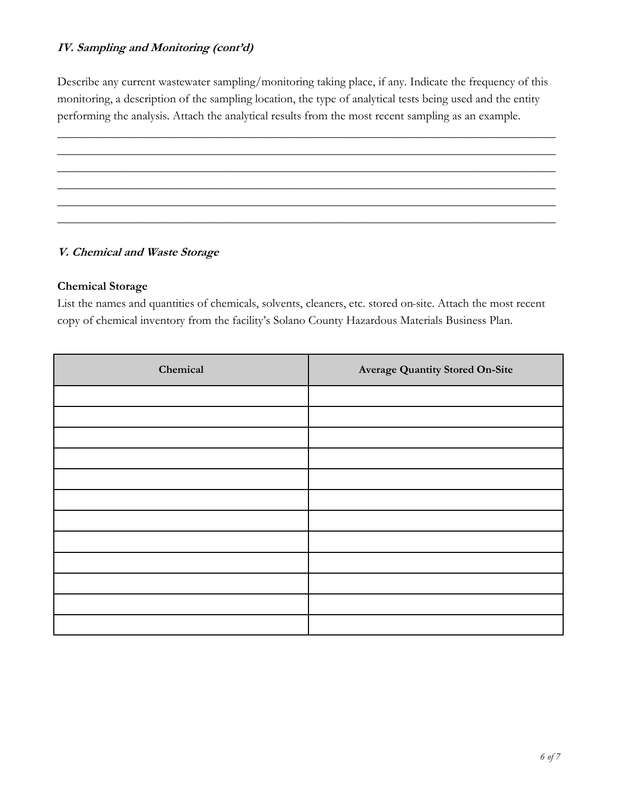## **IV. Sampling and Monitoring (cont'd)**

Describe any current wastewater sampling/monitoring taking place, if any. Indicate the frequency of this monitoring, a description of the sampling location, the type of analytical tests being used and the entity performing the analysis. Attach the analytical results from the most recent sampling as an example.

# \_\_\_\_\_\_\_\_\_\_\_\_\_\_\_\_\_\_\_\_\_\_\_\_\_\_\_\_\_\_\_\_\_\_\_\_\_\_\_\_\_\_\_\_\_\_\_\_\_\_\_\_\_\_\_\_\_\_\_\_\_\_\_\_\_\_\_\_\_\_\_\_\_\_\_\_\_\_\_\_\_\_ \_\_\_\_\_\_\_\_\_\_\_\_\_\_\_\_\_\_\_\_\_\_\_\_\_\_\_\_\_\_\_\_\_\_\_\_\_\_\_\_\_\_\_\_\_\_\_\_\_\_\_\_\_\_\_\_\_\_\_\_\_\_\_\_\_\_\_\_\_\_\_\_\_\_\_\_\_\_\_\_\_\_ \_\_\_\_\_\_\_\_\_\_\_\_\_\_\_\_\_\_\_\_\_\_\_\_\_\_\_\_\_\_\_\_\_\_\_\_\_\_\_\_\_\_\_\_\_\_\_\_\_\_\_\_\_\_\_\_\_\_\_\_\_\_\_\_\_\_\_\_\_\_\_\_\_\_\_\_\_\_\_\_\_\_ \_\_\_\_\_\_\_\_\_\_\_\_\_\_\_\_\_\_\_\_\_\_\_\_\_\_\_\_\_\_\_\_\_\_\_\_\_\_\_\_\_\_\_\_\_\_\_\_\_\_\_\_\_\_\_\_\_\_\_\_\_\_\_\_\_\_\_\_\_\_\_\_\_\_\_\_\_\_\_\_\_\_ \_\_\_\_\_\_\_\_\_\_\_\_\_\_\_\_\_\_\_\_\_\_\_\_\_\_\_\_\_\_\_\_\_\_\_\_\_\_\_\_\_\_\_\_\_\_\_\_\_\_\_\_\_\_\_\_\_\_\_\_\_\_\_\_\_\_\_\_\_\_\_\_\_\_\_\_\_\_\_\_\_\_ \_\_\_\_\_\_\_\_\_\_\_\_\_\_\_\_\_\_\_\_\_\_\_\_\_\_\_\_\_\_\_\_\_\_\_\_\_\_\_\_\_\_\_\_\_\_\_\_\_\_\_\_\_\_\_\_\_\_\_\_\_\_\_\_\_\_\_\_\_\_\_\_\_\_\_\_\_\_\_\_\_\_

## **V. Chemical and Waste Storage**

#### **Chemical Storage**

List the names and quantities of chemicals, solvents, cleaners, etc. stored on-site. Attach the most recent copy of chemical inventory from the facility's Solano County Hazardous Materials Business Plan.

| Chemical | <b>Average Quantity Stored On-Site</b> |
|----------|----------------------------------------|
|          |                                        |
|          |                                        |
|          |                                        |
|          |                                        |
|          |                                        |
|          |                                        |
|          |                                        |
|          |                                        |
|          |                                        |
|          |                                        |
|          |                                        |
|          |                                        |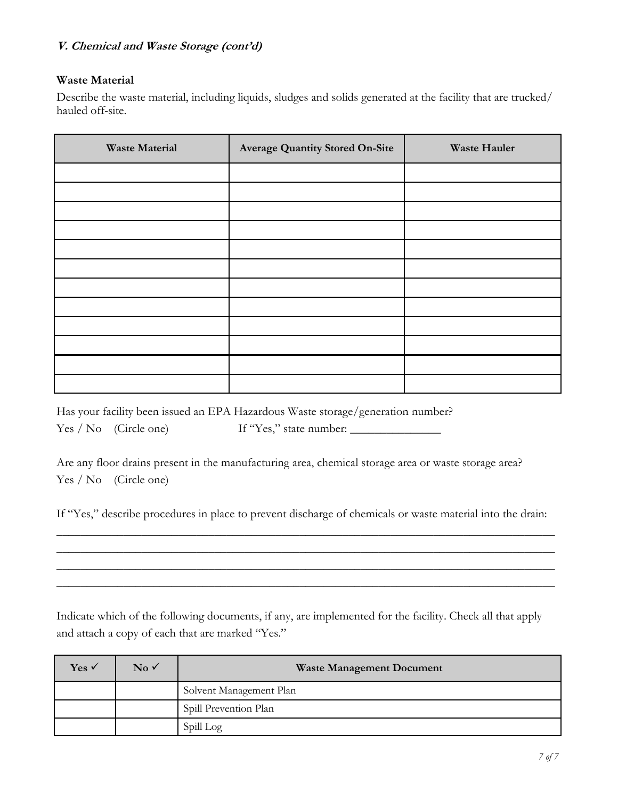#### **V. Chemical and Waste Storage (cont'd)**

## **Waste Material**

Describe the waste material, including liquids, sludges and solids generated at the facility that are trucked/ hauled off-site.

| <b>Waste Material</b> | <b>Average Quantity Stored On-Site</b> | <b>Waste Hauler</b> |
|-----------------------|----------------------------------------|---------------------|
|                       |                                        |                     |
|                       |                                        |                     |
|                       |                                        |                     |
|                       |                                        |                     |
|                       |                                        |                     |
|                       |                                        |                     |
|                       |                                        |                     |
|                       |                                        |                     |
|                       |                                        |                     |
|                       |                                        |                     |
|                       |                                        |                     |
|                       |                                        |                     |

Has your facility been issued an EPA Hazardous Waste storage/generation number? Yes / No (Circle one) If "Yes," state number:

Are any floor drains present in the manufacturing area, chemical storage area or waste storage area? Yes / No (Circle one)

If "Yes," describe procedures in place to prevent discharge of chemicals or waste material into the drain: \_\_\_\_\_\_\_\_\_\_\_\_\_\_\_\_\_\_\_\_\_\_\_\_\_\_\_\_\_\_\_\_\_\_\_\_\_\_\_\_\_\_\_\_\_\_\_\_\_\_\_\_\_\_\_\_\_\_\_\_\_\_\_\_\_\_\_\_\_\_\_\_\_\_\_\_\_\_\_\_\_\_

\_\_\_\_\_\_\_\_\_\_\_\_\_\_\_\_\_\_\_\_\_\_\_\_\_\_\_\_\_\_\_\_\_\_\_\_\_\_\_\_\_\_\_\_\_\_\_\_\_\_\_\_\_\_\_\_\_\_\_\_\_\_\_\_\_\_\_\_\_\_\_\_\_\_\_\_\_\_\_\_\_\_ \_\_\_\_\_\_\_\_\_\_\_\_\_\_\_\_\_\_\_\_\_\_\_\_\_\_\_\_\_\_\_\_\_\_\_\_\_\_\_\_\_\_\_\_\_\_\_\_\_\_\_\_\_\_\_\_\_\_\_\_\_\_\_\_\_\_\_\_\_\_\_\_\_\_\_\_\_\_\_\_\_\_ \_\_\_\_\_\_\_\_\_\_\_\_\_\_\_\_\_\_\_\_\_\_\_\_\_\_\_\_\_\_\_\_\_\_\_\_\_\_\_\_\_\_\_\_\_\_\_\_\_\_\_\_\_\_\_\_\_\_\_\_\_\_\_\_\_\_\_\_\_\_\_\_\_\_\_\_\_\_\_\_\_\_

Indicate which of the following documents, if any, are implemented for the facility. Check all that apply and attach a copy of each that are marked "Yes."

| Yes $\checkmark$ | $\overline{\text{No}}$ | <b>Waste Management Document</b> |
|------------------|------------------------|----------------------------------|
|                  |                        | Solvent Management Plan          |
|                  |                        | Spill Prevention Plan            |
|                  |                        | Spill Log                        |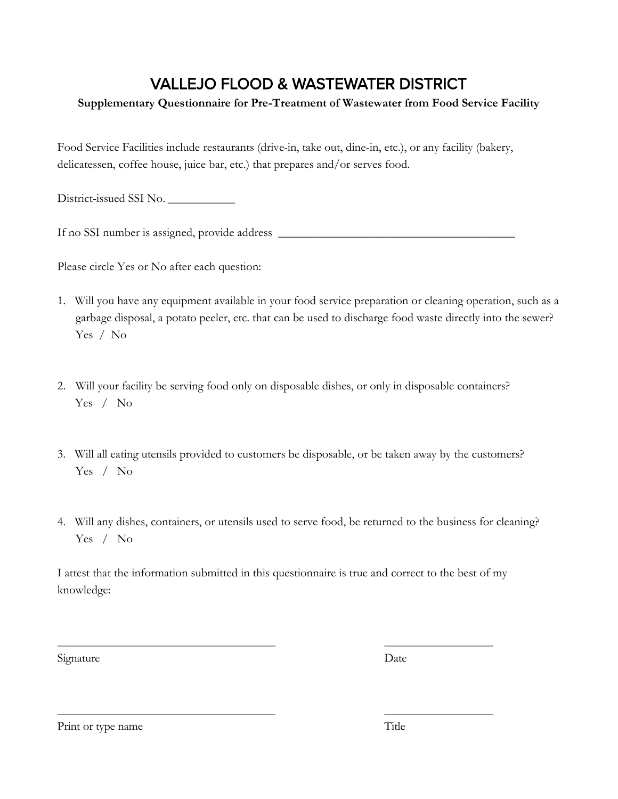# VALLEJO FLOOD & WASTEWATER DISTRICT

## **Supplementary Questionnaire for Pre-Treatment of Wastewater from Food Service Facility**

Food Service Facilities include restaurants (drive-in, take out, dine-in, etc.), or any facility (bakery, delicatessen, coffee house, juice bar, etc.) that prepares and/or serves food.

District-issued SSI No.

If no SSI number is assigned, provide address \_\_\_\_\_\_\_\_\_\_\_\_\_\_\_\_\_\_\_\_\_\_\_\_\_\_\_\_\_\_\_\_\_\_

Please circle Yes or No after each question:

- 1. Will you have any equipment available in your food service preparation or cleaning operation, such as a garbage disposal, a potato peeler, etc. that can be used to discharge food waste directly into the sewer? Yes / No
- 2. Will your facility be serving food only on disposable dishes, or only in disposable containers? Yes / No
- 3. Will all eating utensils provided to customers be disposable, or be taken away by the customers? Yes / No
- 4. Will any dishes, containers, or utensils used to serve food, be returned to the business for cleaning? Yes / No

I attest that the information submitted in this questionnaire is true and correct to the best of my knowledge:

Signature Date

Print or type name Title